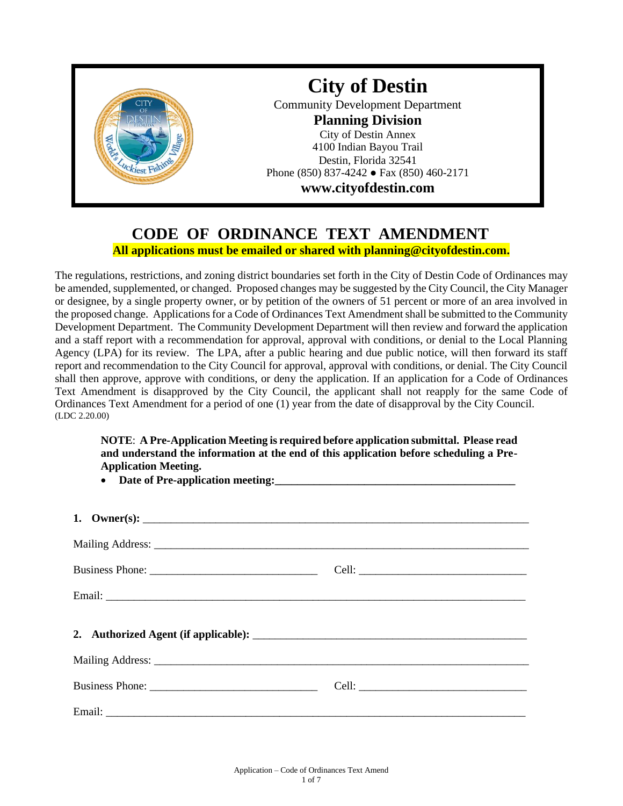

## **CODE OF ORDINANCE TEXT AMENDMENT All applications must be emailed or shared with planning@cityofdestin.com.**

The regulations, restrictions, and zoning district boundaries set forth in the City of Destin Code of Ordinances may be amended, supplemented, or changed. Proposed changes may be suggested by the City Council, the City Manager or designee, by a single property owner, or by petition of the owners of 51 percent or more of an area involved in the proposed change. Applications for a Code of Ordinances Text Amendment shall be submitted to the Community Development Department. The Community Development Department will then review and forward the application and a staff report with a recommendation for approval, approval with conditions, or denial to the Local Planning Agency (LPA) for its review. The LPA, after a public hearing and due public notice, will then forward its staff report and recommendation to the City Council for approval, approval with conditions, or denial. The City Council shall then approve, approve with conditions, or deny the application. If an application for a Code of Ordinances Text Amendment is disapproved by the City Council, the applicant shall not reapply for the same Code of Ordinances Text Amendment for a period of one (1) year from the date of disapproval by the City Council. (LDC 2.20.00)

**NOTE**: **A Pre-Application Meeting is required before application submittal. Please read and understand the information at the end of this application before scheduling a Pre-Application Meeting.**

• Date of Pre-application meeting:

| 1. Owner(s): $\qquad \qquad$ |  |
|------------------------------|--|
|                              |  |
|                              |  |
|                              |  |
|                              |  |
|                              |  |
|                              |  |
|                              |  |
|                              |  |
|                              |  |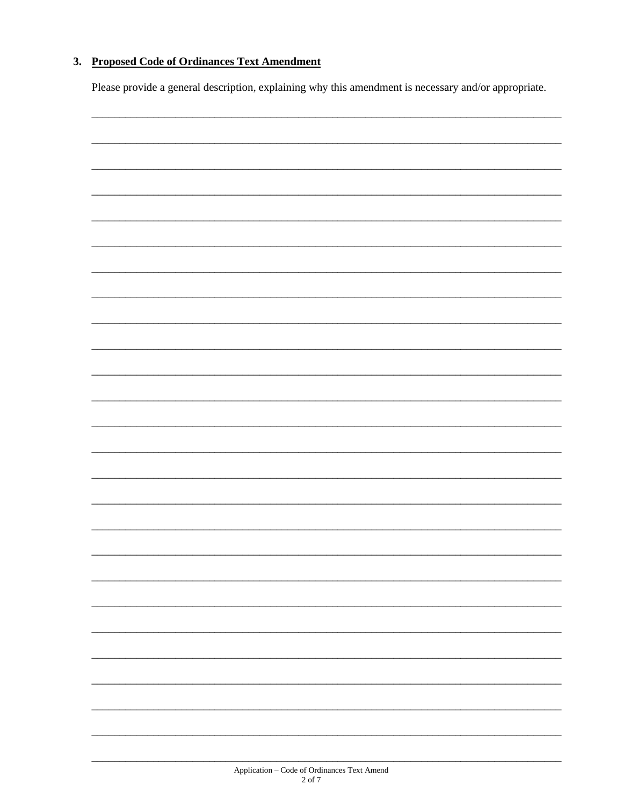### 3. Proposed Code of Ordinances Text Amendment

Please provide a general description, explaining why this amendment is necessary and/or appropriate.

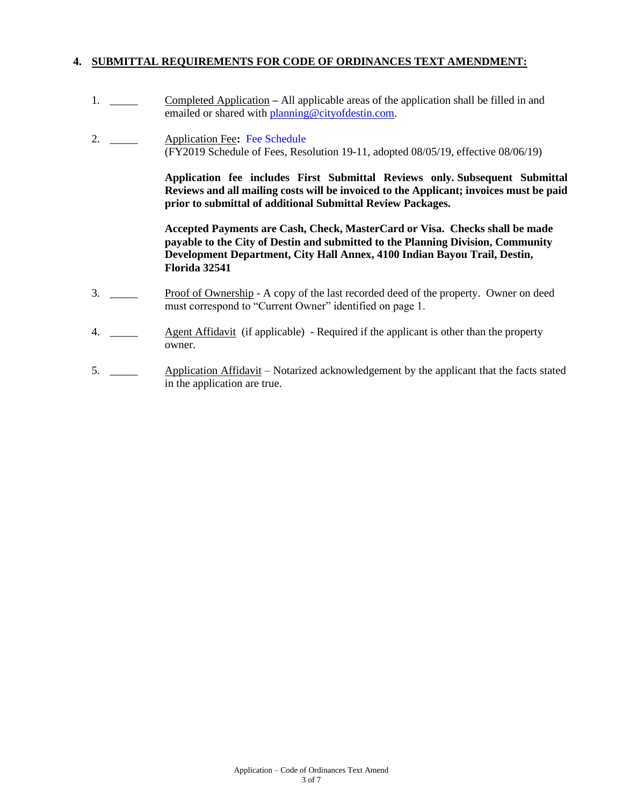### **4. SUBMITTAL REQUIREMENTS FOR CODE OF ORDINANCES TEXT AMENDMENT:**

- 1. \_\_\_\_\_ Completed Application **–** All applicable areas of the application shall be filled in and emailed or shared with [planning@cityofdestin.com.](mailto:planning@cityofdestin.com)
- 2. \_\_\_\_\_ Application Fee**:** [Fee Schedule](https://www.cityofdestin.com/DocumentCenter/View/119/Planning-Fees-FY2019?bidId=) (FY2019 Schedule of Fees, Resolution 19-11, adopted 08/05/19, effective 08/06/19)

**Application fee includes First Submittal Reviews only. Subsequent Submittal Reviews and all mailing costs will be invoiced to the Applicant; invoices must be paid prior to submittal of additional Submittal Review Packages.**

**Accepted Payments are Cash, Check, MasterCard or Visa. Checks shall be made payable to the City of Destin and submitted to the Planning Division, Community Development Department, City Hall Annex, 4100 Indian Bayou Trail, Destin, Florida 32541**

- 3. \_\_\_\_\_ Proof of Ownership A copy of the last recorded deed of the property. Owner on deed must correspond to "Current Owner" identified on page 1.
- 4. \_\_\_\_\_ Agent Affidavit (if applicable) Required if the applicant is other than the property owner.
- 5. \_\_\_\_\_ Application Affidavit Notarized acknowledgement by the applicant that the facts stated in the application are true.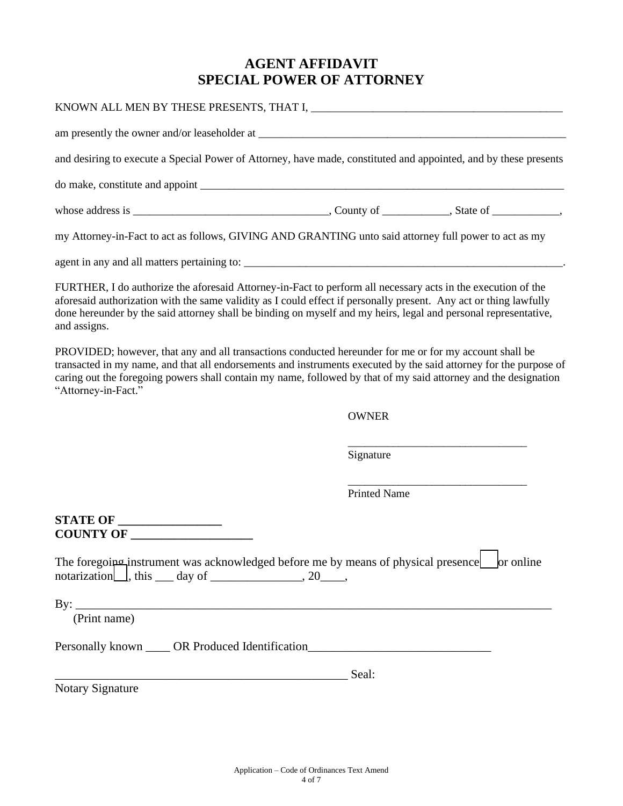# **AGENT AFFIDAVIT SPECIAL POWER OF ATTORNEY**

| and desiring to execute a Special Power of Attorney, have made, constituted and appointed, and by these presents                                                                                                                                                                                                                                                      |                     |  |
|-----------------------------------------------------------------------------------------------------------------------------------------------------------------------------------------------------------------------------------------------------------------------------------------------------------------------------------------------------------------------|---------------------|--|
|                                                                                                                                                                                                                                                                                                                                                                       |                     |  |
|                                                                                                                                                                                                                                                                                                                                                                       |                     |  |
| my Attorney-in-Fact to act as follows, GIVING AND GRANTING unto said attorney full power to act as my                                                                                                                                                                                                                                                                 |                     |  |
|                                                                                                                                                                                                                                                                                                                                                                       |                     |  |
| FURTHER, I do authorize the aforesaid Attorney-in-Fact to perform all necessary acts in the execution of the<br>aforesaid authorization with the same validity as I could effect if personally present. Any act or thing lawfully<br>done hereunder by the said attorney shall be binding on myself and my heirs, legal and personal representative,<br>and assigns.  |                     |  |
| PROVIDED; however, that any and all transactions conducted hereunder for me or for my account shall be<br>transacted in my name, and that all endorsements and instruments executed by the said attorney for the purpose of<br>caring out the foregoing powers shall contain my name, followed by that of my said attorney and the designation<br>"Attorney-in-Fact." |                     |  |
|                                                                                                                                                                                                                                                                                                                                                                       | <b>OWNER</b>        |  |
|                                                                                                                                                                                                                                                                                                                                                                       | Signature           |  |
|                                                                                                                                                                                                                                                                                                                                                                       | <b>Printed Name</b> |  |
| <b>STATE OF __________________</b><br>COUNTY OF                                                                                                                                                                                                                                                                                                                       |                     |  |
| The foregoing instrument was acknowledged before me by means of physical presence or online<br>$\text{notation}$ , this $\_\_\text{day}$ of $\_\_\text{xxxx}$ , 20, 0,                                                                                                                                                                                                |                     |  |
| By: $\overline{\phantom{a}}$<br>(Print name)                                                                                                                                                                                                                                                                                                                          |                     |  |
| Personally known _____ OR Produced Identification_______________________________                                                                                                                                                                                                                                                                                      |                     |  |
| $S$ eal:                                                                                                                                                                                                                                                                                                                                                              |                     |  |
| <b>Notary Signature</b>                                                                                                                                                                                                                                                                                                                                               |                     |  |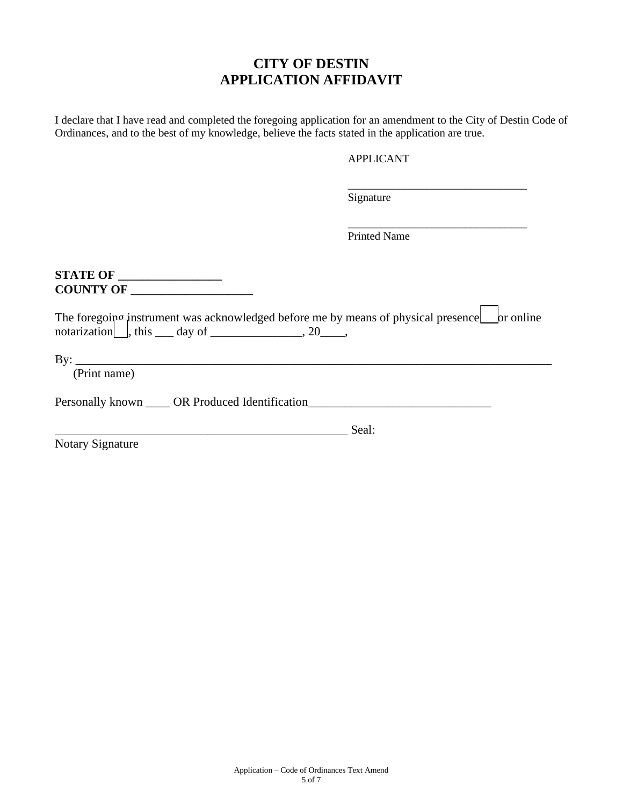## **CITY OF DESTIN APPLICATION AFFIDAVIT**

I declare that I have read and completed the foregoing application for an amendment to the City of Destin Code of Ordinances, and to the best of my knowledge, believe the facts stated in the application are true.

### APPLICANT

\_\_\_\_\_\_\_\_\_\_\_\_\_\_\_\_\_\_\_\_\_\_\_\_\_\_\_\_\_\_\_\_

\_\_\_\_\_\_\_\_\_\_\_\_\_\_\_\_\_\_\_\_\_\_\_\_\_\_\_\_\_\_\_\_

 $\blacksquare$ ÷.

Signature

Printed Name

**STATE OF \_\_\_\_\_\_\_\_\_\_\_\_\_\_\_\_\_ COUNTY OF \_\_\_\_\_\_\_\_\_\_\_\_\_\_\_\_\_\_\_\_**

| The foregoing instrument was acknowledged before me by means of physical presence br online |  |
|---------------------------------------------------------------------------------------------|--|
| notarization $\vert$ , this day of $\vert$ , 20, $\vert$ ,                                  |  |
|                                                                                             |  |

 $By:$ 

(Print name)

Personally known \_\_\_\_ OR Produced Identification\_\_\_\_\_\_\_\_\_\_\_\_\_\_\_\_\_\_\_\_\_\_\_\_\_\_\_\_\_\_\_\_

\_\_\_\_\_\_\_\_\_\_\_\_\_\_\_\_\_\_\_\_\_\_\_\_\_\_\_\_\_\_\_\_\_\_\_\_\_\_\_\_\_\_\_\_\_\_\_\_ Seal:

Notary Signature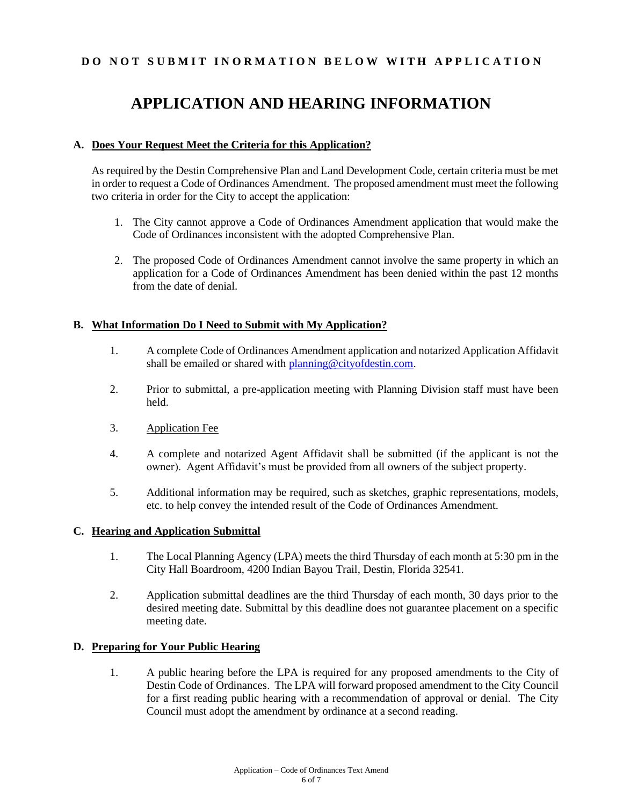### **DO NOT SUBMIT INORMATION BELOW WITH APPLICATION**

# **APPLICATION AND HEARING INFORMATION**

### **A. Does Your Request Meet the Criteria for this Application?**

As required by the Destin Comprehensive Plan and Land Development Code, certain criteria must be met in order to request a Code of Ordinances Amendment. The proposed amendment must meet the following two criteria in order for the City to accept the application:

- 1. The City cannot approve a Code of Ordinances Amendment application that would make the Code of Ordinances inconsistent with the adopted Comprehensive Plan.
- 2. The proposed Code of Ordinances Amendment cannot involve the same property in which an application for a Code of Ordinances Amendment has been denied within the past 12 months from the date of denial.

### **B. What Information Do I Need to Submit with My Application?**

- 1. A complete Code of Ordinances Amendment application and notarized Application Affidavit shall be emailed or shared with [planning@cityofdestin.com.](mailto:planning@cityofdestin.com)
- 2. Prior to submittal, a pre-application meeting with Planning Division staff must have been held.
- 3. Application Fee
- 4. A complete and notarized Agent Affidavit shall be submitted (if the applicant is not the owner). Agent Affidavit's must be provided from all owners of the subject property.
- 5. Additional information may be required, such as sketches, graphic representations, models, etc. to help convey the intended result of the Code of Ordinances Amendment.

### **C. Hearing and Application Submittal**

- 1. The Local Planning Agency (LPA) meets the third Thursday of each month at 5:30 pm in the City Hall Boardroom, 4200 Indian Bayou Trail, Destin, Florida 32541.
- 2. Application submittal deadlines are the third Thursday of each month, 30 days prior to the desired meeting date. Submittal by this deadline does not guarantee placement on a specific meeting date.

### **D. Preparing for Your Public Hearing**

1. A public hearing before the LPA is required for any proposed amendments to the City of Destin Code of Ordinances. The LPA will forward proposed amendment to the City Council for a first reading public hearing with a recommendation of approval or denial. The City Council must adopt the amendment by ordinance at a second reading.